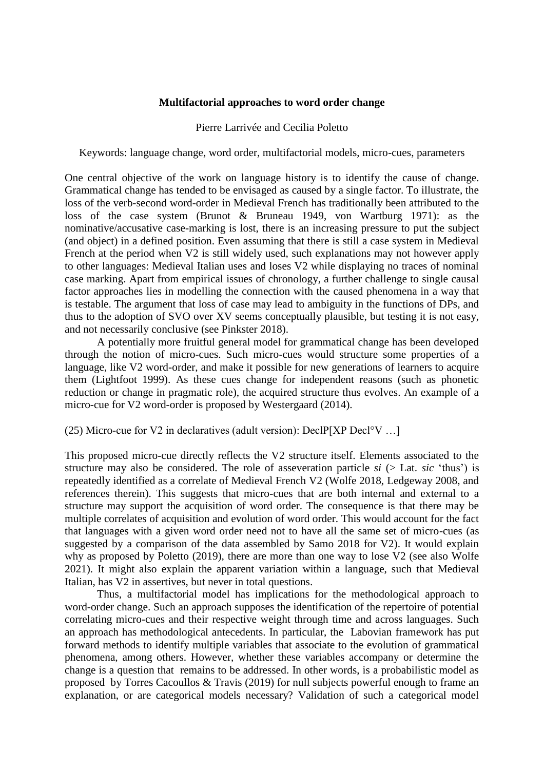## **Multifactorial approaches to word order change**

## Pierre Larrivée and Cecilia Poletto

Keywords: language change, word order, multifactorial models, micro-cues, parameters

One central objective of the work on language history is to identify the cause of change. Grammatical change has tended to be envisaged as caused by a single factor. To illustrate, the loss of the verb-second word-order in Medieval French has traditionally been attributed to the loss of the case system (Brunot & Bruneau 1949, von Wartburg 1971): as the nominative/accusative case-marking is lost, there is an increasing pressure to put the subject (and object) in a defined position. Even assuming that there is still a case system in Medieval French at the period when V2 is still widely used, such explanations may not however apply to other languages: Medieval Italian uses and loses V2 while displaying no traces of nominal case marking. Apart from empirical issues of chronology, a further challenge to single causal factor approaches lies in modelling the connection with the caused phenomena in a way that is testable. The argument that loss of case may lead to ambiguity in the functions of DPs, and thus to the adoption of SVO over XV seems conceptually plausible, but testing it is not easy, and not necessarily conclusive (see Pinkster 2018).

A potentially more fruitful general model for grammatical change has been developed through the notion of micro-cues. Such micro-cues would structure some properties of a language, like V2 word-order, and make it possible for new generations of learners to acquire them (Lightfoot 1999). As these cues change for independent reasons (such as phonetic reduction or change in pragmatic role), the acquired structure thus evolves. An example of a micro-cue for V2 word-order is proposed by Westergaard (2014).

(25) Micro-cue for V2 in declaratives (adult version): DeclP[XP Decl°V …]

This proposed micro-cue directly reflects the V2 structure itself. Elements associated to the structure may also be considered. The role of asseveration particle *si* (> Lat. *sic* 'thus') is repeatedly identified as a correlate of Medieval French V2 (Wolfe 2018, Ledgeway 2008, and references therein). This suggests that micro-cues that are both internal and external to a structure may support the acquisition of word order. The consequence is that there may be multiple correlates of acquisition and evolution of word order. This would account for the fact that languages with a given word order need not to have all the same set of micro-cues (as suggested by a comparison of the data assembled by Samo 2018 for V2). It would explain why as proposed by Poletto (2019), there are more than one way to lose V2 (see also Wolfe 2021). It might also explain the apparent variation within a language, such that Medieval Italian, has V2 in assertives, but never in total questions.

Thus, a multifactorial model has implications for the methodological approach to word-order change. Such an approach supposes the identification of the repertoire of potential correlating micro-cues and their respective weight through time and across languages. Such an approach has methodological antecedents. In particular, the Labovian framework has put forward methods to identify multiple variables that associate to the evolution of grammatical phenomena, among others. However, whether these variables accompany or determine the change is a question that remains to be addressed. In other words, is a probabilistic model as proposed by Torres Cacoullos & Travis (2019) for null subjects powerful enough to frame an explanation, or are categorical models necessary? Validation of such a categorical model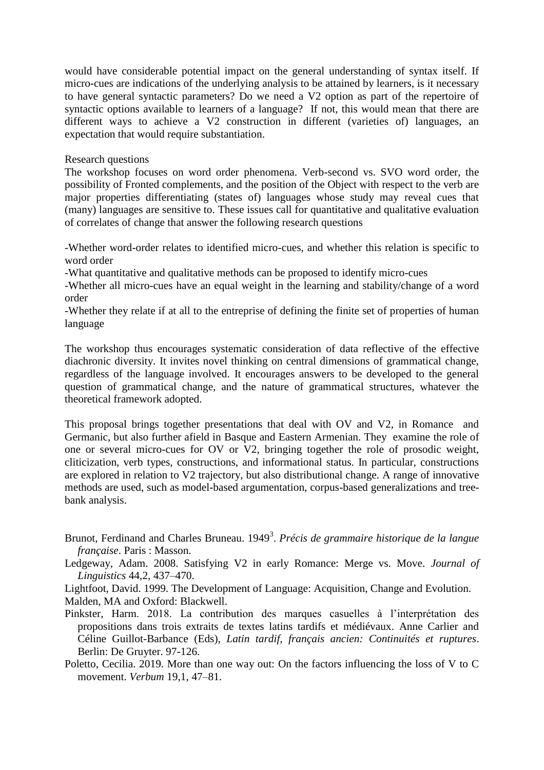would have considerable potential impact on the general understanding of syntax itself. If micro-cues are indications of the underlying analysis to be attained by learners, is it necessary to have general syntactic parameters? Do we need a V2 option as part of the repertoire of syntactic options available to learners of a language? If not, this would mean that there are different ways to achieve a V2 construction in different (varieties of) languages, an expectation that would require substantiation.

## Research questions

The workshop focuses on word order phenomena. Verb-second vs. SVO word order, the possibility of Fronted complements, and the position of the Object with respect to the verb are major properties differentiating (states of) languages whose study may reveal cues that (many) languages are sensitive to. These issues call for quantitative and qualitative evaluation of correlates of change that answer the following research questions

-Whether word-order relates to identified micro-cues, and whether this relation is specific to word order

-What quantitative and qualitative methods can be proposed to identify micro-cues

-Whether all micro-cues have an equal weight in the learning and stability/change of a word order

-Whether they relate if at all to the entreprise of defining the finite set of properties of human language

The workshop thus encourages systematic consideration of data reflective of the effective diachronic diversity. It invites novel thinking on central dimensions of grammatical change, regardless of the language involved. It encourages answers to be developed to the general question of grammatical change, and the nature of grammatical structures, whatever the theoretical framework adopted.

This proposal brings together presentations that deal with OV and V2, in Romance and Germanic, but also further afield in Basque and Eastern Armenian. They examine the role of one or several micro-cues for OV or V2, bringing together the role of prosodic weight, cliticization, verb types, constructions, and informational status. In particular, constructions are explored in relation to V2 trajectory, but also distributional change. A range of innovative methods are used, such as model-based argumentation, corpus-based generalizations and treebank analysis.

Brunot, Ferdinand and Charles Bruneau. 1949<sup>3</sup>. *Précis de grammaire historique de la langue française*. Paris : Masson.

Ledgeway, Adam. 2008. Satisfying V2 in early Romance: Merge vs. Move. *Journal of Linguistics* 44,2, 437–470.

Lightfoot, David. 1999. The Development of Language: Acquisition, Change and Evolution. Malden, MA and Oxford: Blackwell.

- Pinkster, Harm. 2018. La contribution des marques casuelles à l'interprétation des propositions dans trois extraits de textes latins tardifs et médiévaux. Anne Carlier and Céline Guillot-Barbance (Eds), *Latin tardif, français ancien: Continuités et ruptures*. Berlin: De Gruyter. 97-126.
- Poletto, Cecilia. 2019. More than one way out: On the factors influencing the loss of V to C movement. *Verbum* 19,1, 47–81.